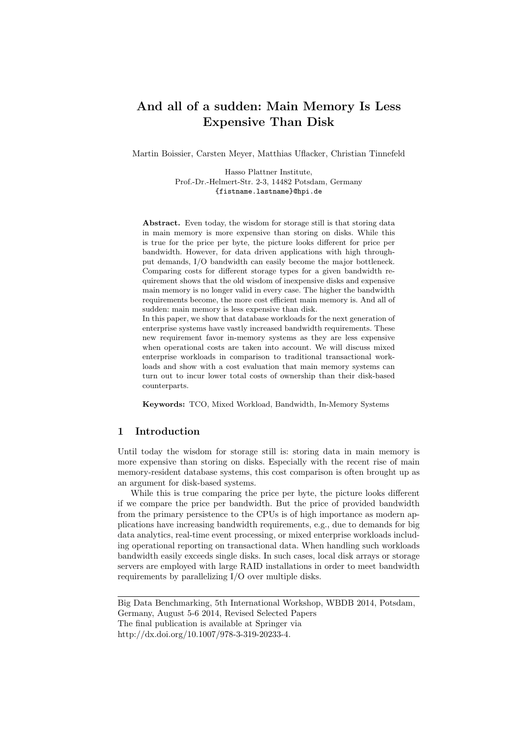# And all of a sudden: Main Memory Is Less Expensive Than Disk

Martin Boissier, Carsten Meyer, Matthias Uflacker, Christian Tinnefeld

Hasso Plattner Institute, Prof.-Dr.-Helmert-Str. 2-3, 14482 Potsdam, Germany {fistname.lastname}@hpi.de

Abstract. Even today, the wisdom for storage still is that storing data in main memory is more expensive than storing on disks. While this is true for the price per byte, the picture looks different for price per bandwidth. However, for data driven applications with high throughput demands, I/O bandwidth can easily become the major bottleneck. Comparing costs for different storage types for a given bandwidth requirement shows that the old wisdom of inexpensive disks and expensive main memory is no longer valid in every case. The higher the bandwidth requirements become, the more cost efficient main memory is. And all of sudden: main memory is less expensive than disk.

In this paper, we show that database workloads for the next generation of enterprise systems have vastly increased bandwidth requirements. These new requirement favor in-memory systems as they are less expensive when operational costs are taken into account. We will discuss mixed enterprise workloads in comparison to traditional transactional workloads and show with a cost evaluation that main memory systems can turn out to incur lower total costs of ownership than their disk-based counterparts.

Keywords: TCO, Mixed Workload, Bandwidth, In-Memory Systems

## 1 Introduction

Until today the wisdom for storage still is: storing data in main memory is more expensive than storing on disks. Especially with the recent rise of main memory-resident database systems, this cost comparison is often brought up as an argument for disk-based systems.

While this is true comparing the price per byte, the picture looks different if we compare the price per bandwidth. But the price of provided bandwidth from the primary persistence to the CPUs is of high importance as modern applications have increasing bandwidth requirements, e.g., due to demands for big data analytics, real-time event processing, or mixed enterprise workloads including operational reporting on transactional data. When handling such workloads bandwidth easily exceeds single disks. In such cases, local disk arrays or storage servers are employed with large RAID installations in order to meet bandwidth requirements by parallelizing I/O over multiple disks.

Big Data Benchmarking, 5th International Workshop, WBDB 2014, Potsdam, Germany, August 5-6 2014, Revised Selected Papers The final publication is available at Springer via http://dx.doi.org/10.1007/978-3-319-20233-4.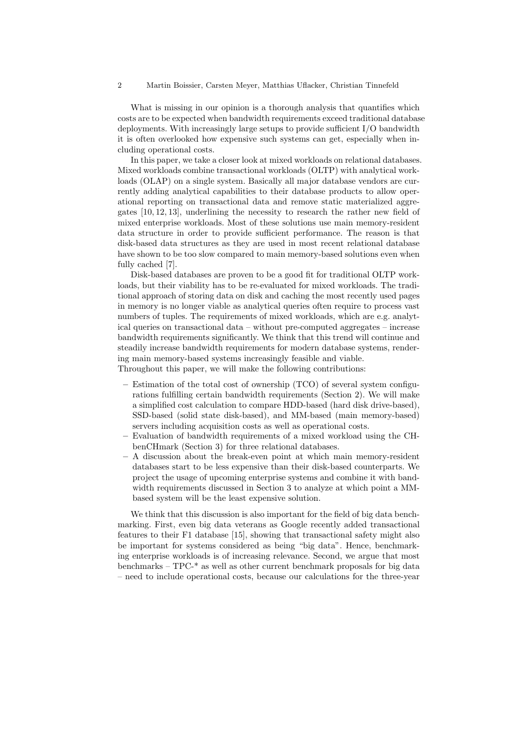What is missing in our opinion is a thorough analysis that quantifies which costs are to be expected when bandwidth requirements exceed traditional database deployments. With increasingly large setups to provide sufficient I/O bandwidth it is often overlooked how expensive such systems can get, especially when including operational costs.

In this paper, we take a closer look at mixed workloads on relational databases. Mixed workloads combine transactional workloads (OLTP) with analytical workloads (OLAP) on a single system. Basically all major database vendors are currently adding analytical capabilities to their database products to allow operational reporting on transactional data and remove static materialized aggregates [10, 12, 13], underlining the necessity to research the rather new field of mixed enterprise workloads. Most of these solutions use main memory-resident data structure in order to provide sufficient performance. The reason is that disk-based data structures as they are used in most recent relational database have shown to be too slow compared to main memory-based solutions even when fully cached [7].

Disk-based databases are proven to be a good fit for traditional OLTP workloads, but their viability has to be re-evaluated for mixed workloads. The traditional approach of storing data on disk and caching the most recently used pages in memory is no longer viable as analytical queries often require to process vast numbers of tuples. The requirements of mixed workloads, which are e.g. analytical queries on transactional data – without pre-computed aggregates – increase bandwidth requirements significantly. We think that this trend will continue and steadily increase bandwidth requirements for modern database systems, rendering main memory-based systems increasingly feasible and viable.

Throughout this paper, we will make the following contributions:

- Estimation of the total cost of ownership (TCO) of several system configurations fulfilling certain bandwidth requirements (Section 2). We will make a simplified cost calculation to compare HDD-based (hard disk drive-based), SSD-based (solid state disk-based), and MM-based (main memory-based) servers including acquisition costs as well as operational costs.
- Evaluation of bandwidth requirements of a mixed workload using the CHbenCHmark (Section 3) for three relational databases.
- A discussion about the break-even point at which main memory-resident databases start to be less expensive than their disk-based counterparts. We project the usage of upcoming enterprise systems and combine it with bandwidth requirements discussed in Section 3 to analyze at which point a MMbased system will be the least expensive solution.

We think that this discussion is also important for the field of big data benchmarking. First, even big data veterans as Google recently added transactional features to their F1 database [15], showing that transactional safety might also be important for systems considered as being "big data". Hence, benchmarking enterprise workloads is of increasing relevance. Second, we argue that most benchmarks – TPC-\* as well as other current benchmark proposals for big data – need to include operational costs, because our calculations for the three-year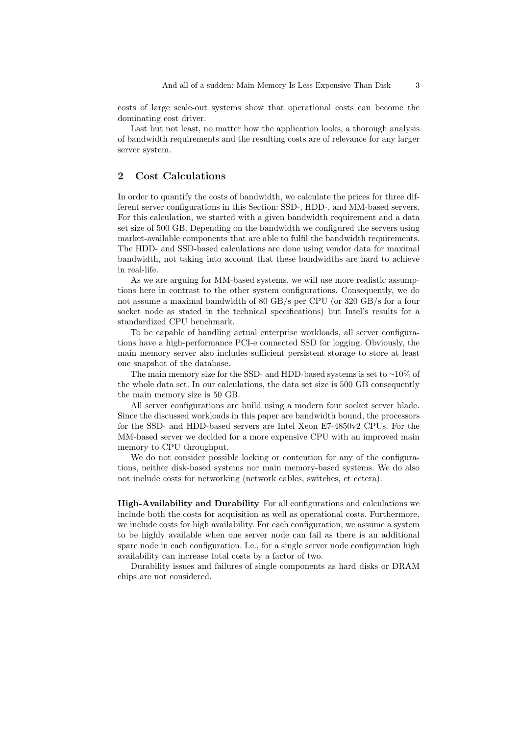costs of large scale-out systems show that operational costs can become the dominating cost driver.

Last but not least, no matter how the application looks, a thorough analysis of bandwidth requirements and the resulting costs are of relevance for any larger server system.

# 2 Cost Calculations

In order to quantify the costs of bandwidth, we calculate the prices for three different server configurations in this Section: SSD-, HDD-, and MM-based servers. For this calculation, we started with a given bandwidth requirement and a data set size of 500 GB. Depending on the bandwidth we configured the servers using market-available components that are able to fulfil the bandwidth requirements. The HDD- and SSD-based calculations are done using vendor data for maximal bandwidth, not taking into account that these bandwidths are hard to achieve in real-life.

As we are arguing for MM-based systems, we will use more realistic assumptions here in contrast to the other system configurations. Consequently, we do not assume a maximal bandwidth of 80 GB/s per CPU (or 320 GB/s for a four socket node as stated in the technical specifications) but Intel's results for a standardized CPU benchmark.

To be capable of handling actual enterprise workloads, all server configurations have a high-performance PCI-e connected SSD for logging. Obviously, the main memory server also includes sufficient persistent storage to store at least one snapshot of the database.

The main memory size for the SSD- and HDD-based systems is set to <sup>∼</sup>10% of the whole data set. In our calculations, the data set size is 500 GB consequently the main memory size is 50 GB.

All server configurations are build using a modern four socket server blade. Since the discussed workloads in this paper are bandwidth bound, the processors for the SSD- and HDD-based servers are Intel Xeon E7-4850v2 CPUs. For the MM-based server we decided for a more expensive CPU with an improved main memory to CPU throughput.

We do not consider possible locking or contention for any of the configurations, neither disk-based systems nor main memory-based systems. We do also not include costs for networking (network cables, switches, et cetera).

High-Availability and Durability For all configurations and calculations we include both the costs for acquisition as well as operational costs. Furthermore, we include costs for high availability. For each configuration, we assume a system to be highly available when one server node can fail as there is an additional spare node in each configuration. I.e., for a single server node configuration high availability can increase total costs by a factor of two.

Durability issues and failures of single components as hard disks or DRAM chips are not considered.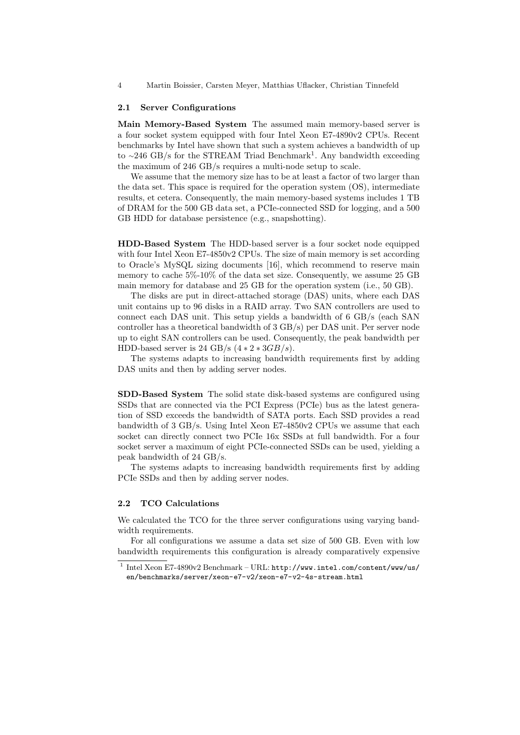4 Martin Boissier, Carsten Meyer, Matthias Uflacker, Christian Tinnefeld

### 2.1 Server Configurations

Main Memory-Based System The assumed main memory-based server is a four socket system equipped with four Intel Xeon E7-4890v2 CPUs. Recent benchmarks by Intel have shown that such a system achieves a bandwidth of up to ~246 GB/s for the STREAM Triad Benchmark<sup>1</sup>. Any bandwidth exceeding the maximum of 246 GB/s requires a multi-node setup to scale.

We assume that the memory size has to be at least a factor of two larger than the data set. This space is required for the operation system (OS), intermediate results, et cetera. Consequently, the main memory-based systems includes 1 TB of DRAM for the 500 GB data set, a PCIe-connected SSD for logging, and a 500 GB HDD for database persistence (e.g., snapshotting).

HDD-Based System The HDD-based server is a four socket node equipped with four Intel Xeon E7-4850v2 CPUs. The size of main memory is set according to Oracle's MySQL sizing documents [16], which recommend to reserve main memory to cache 5%-10% of the data set size. Consequently, we assume 25 GB main memory for database and 25 GB for the operation system (i.e., 50 GB).

The disks are put in direct-attached storage (DAS) units, where each DAS unit contains up to 96 disks in a RAID array. Two SAN controllers are used to connect each DAS unit. This setup yields a bandwidth of 6 GB/s (each SAN controller has a theoretical bandwidth of 3 GB/s) per DAS unit. Per server node up to eight SAN controllers can be used. Consequently, the peak bandwidth per HDD-based server is 24 GB/s  $(4 * 2 * 3GB/s)$ .

The systems adapts to increasing bandwidth requirements first by adding DAS units and then by adding server nodes.

SDD-Based System The solid state disk-based systems are configured using SSDs that are connected via the PCI Express (PCIe) bus as the latest generation of SSD exceeds the bandwidth of SATA ports. Each SSD provides a read bandwidth of 3 GB/s. Using Intel Xeon E7-4850v2 CPUs we assume that each socket can directly connect two PCIe 16x SSDs at full bandwidth. For a four socket server a maximum of eight PCIe-connected SSDs can be used, yielding a peak bandwidth of 24 GB/s.

The systems adapts to increasing bandwidth requirements first by adding PCIe SSDs and then by adding server nodes.

# 2.2 TCO Calculations

We calculated the TCO for the three server configurations using varying bandwidth requirements.

For all configurations we assume a data set size of 500 GB. Even with low bandwidth requirements this configuration is already comparatively expensive

<sup>1</sup> Intel Xeon E7-4890v2 Benchmark – URL: http://www.intel.com/content/www/us/ en/benchmarks/server/xeon-e7-v2/xeon-e7-v2-4s-stream.html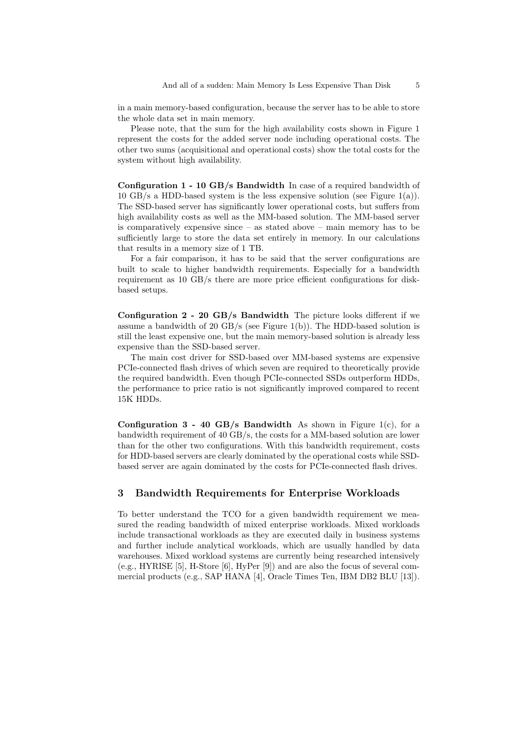in a main memory-based configuration, because the server has to be able to store the whole data set in main memory.

Please note, that the sum for the high availability costs shown in Figure 1 represent the costs for the added server node including operational costs. The other two sums (acquisitional and operational costs) show the total costs for the system without high availability.

Configuration 1 - 10 GB/s Bandwidth In case of a required bandwidth of 10 GB/s a HDD-based system is the less expensive solution (see Figure 1(a)). The SSD-based server has significantly lower operational costs, but suffers from high availability costs as well as the MM-based solution. The MM-based server is comparatively expensive since  $-$  as stated above  $-$  main memory has to be sufficiently large to store the data set entirely in memory. In our calculations that results in a memory size of 1 TB.

For a fair comparison, it has to be said that the server configurations are built to scale to higher bandwidth requirements. Especially for a bandwidth requirement as 10 GB/s there are more price efficient configurations for diskbased setups.

Configuration 2 - 20 GB/s Bandwidth The picture looks different if we assume a bandwidth of 20 GB/s (see Figure 1(b)). The HDD-based solution is still the least expensive one, but the main memory-based solution is already less expensive than the SSD-based server.

The main cost driver for SSD-based over MM-based systems are expensive PCIe-connected flash drives of which seven are required to theoretically provide the required bandwidth. Even though PCIe-connected SSDs outperform HDDs, the performance to price ratio is not significantly improved compared to recent 15K HDDs.

Configuration  $3 - 40$  GB/s Bandwidth As shown in Figure 1(c), for a bandwidth requirement of 40 GB/s, the costs for a MM-based solution are lower than for the other two configurations. With this bandwidth requirement, costs for HDD-based servers are clearly dominated by the operational costs while SSDbased server are again dominated by the costs for PCIe-connected flash drives.

# 3 Bandwidth Requirements for Enterprise Workloads

To better understand the TCO for a given bandwidth requirement we measured the reading bandwidth of mixed enterprise workloads. Mixed workloads include transactional workloads as they are executed daily in business systems and further include analytical workloads, which are usually handled by data warehouses. Mixed workload systems are currently being researched intensively (e.g., HYRISE [5], H-Store [6], HyPer [9]) and are also the focus of several commercial products (e.g., SAP HANA [4], Oracle Times Ten, IBM DB2 BLU [13]).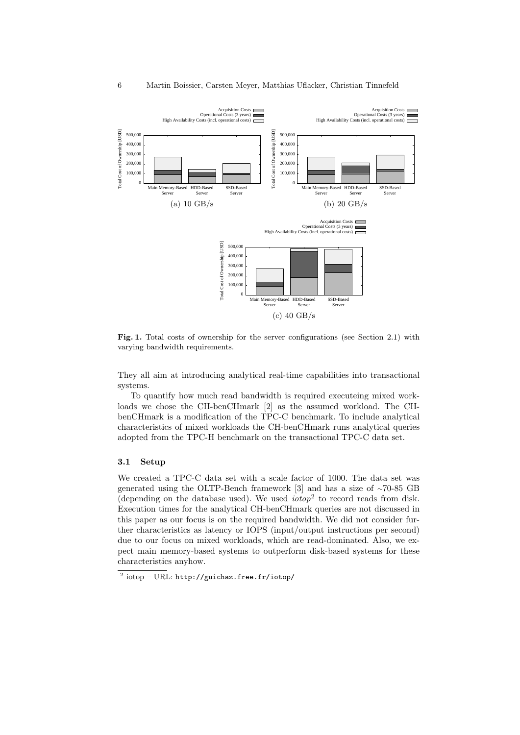

Fig. 1. Total costs of ownership for the server configurations (see Section 2.1) with varying bandwidth requirements.

They all aim at introducing analytical real-time capabilities into transactional systems.

To quantify how much read bandwidth is required executeing mixed workloads we chose the CH-benCHmark [2] as the assumed workload. The CHbenCHmark is a modification of the TPC-C benchmark. To include analytical characteristics of mixed workloads the CH-benCHmark runs analytical queries adopted from the TPC-H benchmark on the transactional TPC-C data set.

### 3.1 Setup

We created a TPC-C data set with a scale factor of 1000. The data set was generated using the OLTP-Bench framework [3] and has a size of <sup>∼</sup>70-85 GB (depending on the database used). We used *iotop*<sup>2</sup> to record reads from disk. Execution times for the analytical CH-benCHmark queries are not discussed in this paper as our focus is on the required bandwidth. We did not consider further characteristics as latency or IOPS (input/output instructions per second) due to our focus on mixed workloads, which are read-dominated. Also, we expect main memory-based systems to outperform disk-based systems for these characteristics anyhow.

 $^2$   $\rm{iotop-URL:}\,http://guichaz.free.fr/iotop/}$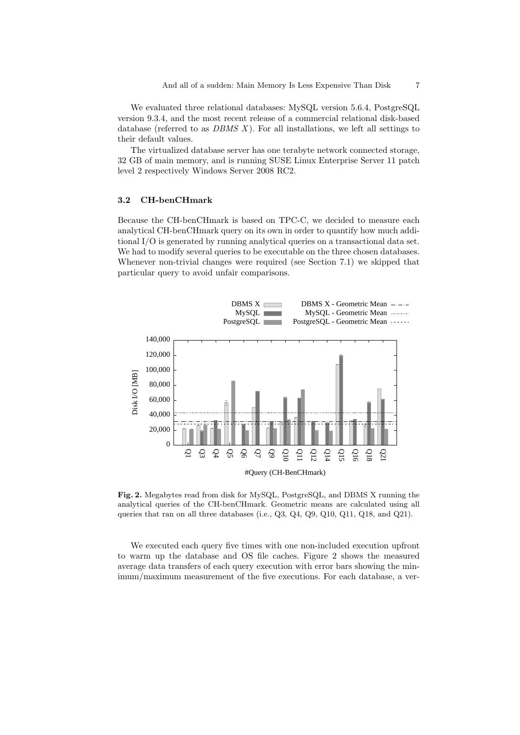We evaluated three relational databases: MySQL version 5.6.4, PostgreSQL version 9.3.4, and the most recent release of a commercial relational disk-based database (referred to as  $DBMS$  X). For all installations, we left all settings to their default values.

The virtualized database server has one terabyte network connected storage, 32 GB of main memory, and is running SUSE Linux Enterprise Server 11 patch level 2 respectively Windows Server 2008 RC2.

### 3.2 CH-benCHmark

Because the CH-benCHmark is based on TPC-C, we decided to measure each analytical CH-benCHmark query on its own in order to quantify how much additional I/O is generated by running analytical queries on a transactional data set. We had to modify several queries to be executable on the three chosen databases. Whenever non-trivial changes were required (see Section 7.1) we skipped that particular query to avoid unfair comparisons.



Fig. 2. Megabytes read from disk for MySQL, PostgreSQL, and DBMS X running the analytical queries of the CH-benCHmark. Geometric means are calculated using all queries that ran on all three databases (i.e.,  $Q3$ ,  $Q4$ ,  $Q9$ ,  $Q10$ ,  $Q11$ ,  $Q18$ , and  $Q21$ ).

We executed each query five times with one non-included execution upfront to warm up the database and OS file caches. Figure 2 shows the measured average data transfers of each query execution with error bars showing the minimum/maximum measurement of the five executions. For each database, a ver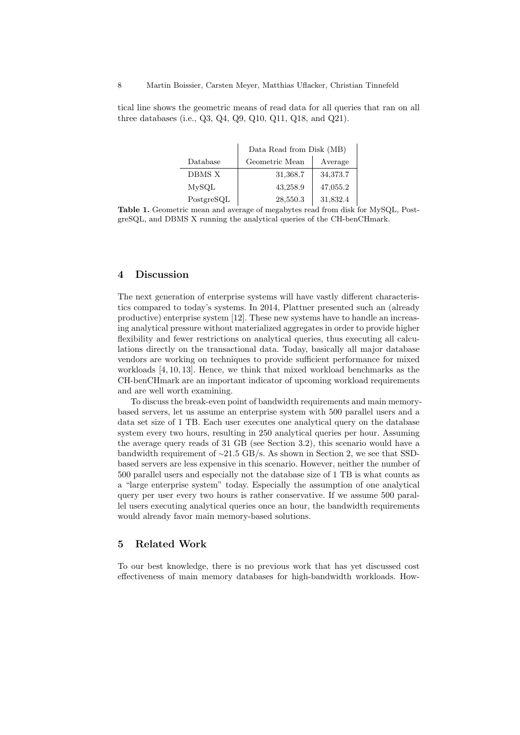tical line shows the geometric means of read data for all queries that ran on all three databases (i.e., Q3, Q4, Q9, Q10, Q11, Q18, and Q21).

|            | Data Read from Disk (MB) |          |  |
|------------|--------------------------|----------|--|
| Database   | Geometric Mean           | Average  |  |
| DBMS X     | 31,368.7                 | 34,373.7 |  |
| MvSQL      | 43,258.9                 | 47,055.2 |  |
| PostgreSQL | 28,550.3                 | 31,832.4 |  |

Table 1. Geometric mean and average of megabytes read from disk for MySQL, PostgreSQL, and DBMS X running the analytical queries of the CH-benCHmark.

# 4 Discussion

The next generation of enterprise systems will have vastly different characteristics compared to today's systems. In 2014, Plattner presented such an (already productive) enterprise system [12]. These new systems have to handle an increasing analytical pressure without materialized aggregates in order to provide higher flexibility and fewer restrictions on analytical queries, thus executing all calculations directly on the transactional data. Today, basically all major database vendors are working on techniques to provide sufficient performance for mixed workloads [4, 10, 13]. Hence, we think that mixed workload benchmarks as the CH-benCHmark are an important indicator of upcoming workload requirements and are well worth examining.

To discuss the break-even point of bandwidth requirements and main memorybased servers, let us assume an enterprise system with 500 parallel users and a data set size of 1 TB. Each user executes one analytical query on the database system every two hours, resulting in 250 analytical queries per hour. Assuming the average query reads of 31 GB (see Section 3.2), this scenario would have a bandwidth requirement of <sup>∼</sup>21.5 GB/s. As shown in Section 2, we see that SSDbased servers are less expensive in this scenario. However, neither the number of 500 parallel users and especially not the database size of 1 TB is what counts as a "large enterprise system" today. Especially the assumption of one analytical query per user every two hours is rather conservative. If we assume 500 parallel users executing analytical queries once an hour, the bandwidth requirements would already favor main memory-based solutions.

# 5 Related Work

To our best knowledge, there is no previous work that has yet discussed cost effectiveness of main memory databases for high-bandwidth workloads. How-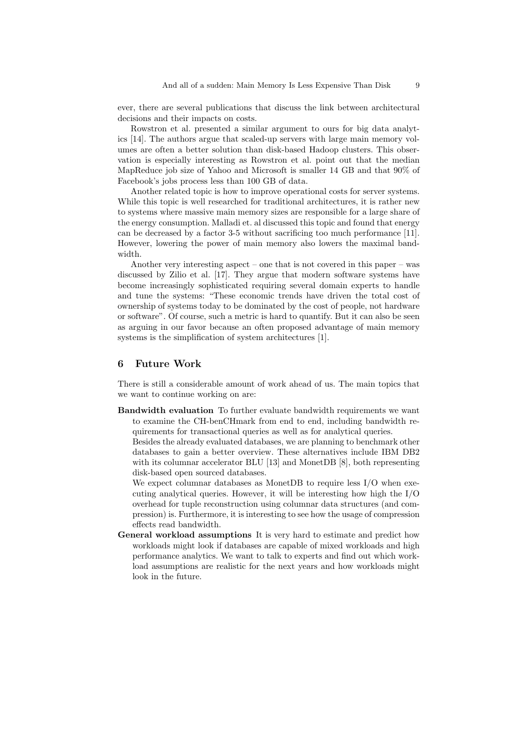ever, there are several publications that discuss the link between architectural decisions and their impacts on costs.

Rowstron et al. presented a similar argument to ours for big data analytics [14]. The authors argue that scaled-up servers with large main memory volumes are often a better solution than disk-based Hadoop clusters. This observation is especially interesting as Rowstron et al. point out that the median MapReduce job size of Yahoo and Microsoft is smaller 14 GB and that 90% of Facebook's jobs process less than 100 GB of data.

Another related topic is how to improve operational costs for server systems. While this topic is well researched for traditional architectures, it is rather new to systems where massive main memory sizes are responsible for a large share of the energy consumption. Malladi et. al discussed this topic and found that energy can be decreased by a factor 3-5 without sacrificing too much performance [11]. However, lowering the power of main memory also lowers the maximal bandwidth.

Another very interesting aspect – one that is not covered in this paper – was discussed by Zilio et al. [17]. They argue that modern software systems have become increasingly sophisticated requiring several domain experts to handle and tune the systems: "These economic trends have driven the total cost of ownership of systems today to be dominated by the cost of people, not hardware or software". Of course, such a metric is hard to quantify. But it can also be seen as arguing in our favor because an often proposed advantage of main memory systems is the simplification of system architectures [1].

# 6 Future Work

There is still a considerable amount of work ahead of us. The main topics that we want to continue working on are:

Bandwidth evaluation To further evaluate bandwidth requirements we want to examine the CH-benCHmark from end to end, including bandwidth requirements for transactional queries as well as for analytical queries.

Besides the already evaluated databases, we are planning to benchmark other databases to gain a better overview. These alternatives include IBM DB2 with its columnar accelerator BLU [13] and MonetDB [8], both representing disk-based open sourced databases.

We expect columnar databases as MonetDB to require less I/O when executing analytical queries. However, it will be interesting how high the I/O overhead for tuple reconstruction using columnar data structures (and compression) is. Furthermore, it is interesting to see how the usage of compression effects read bandwidth.

General workload assumptions It is very hard to estimate and predict how workloads might look if databases are capable of mixed workloads and high performance analytics. We want to talk to experts and find out which workload assumptions are realistic for the next years and how workloads might look in the future.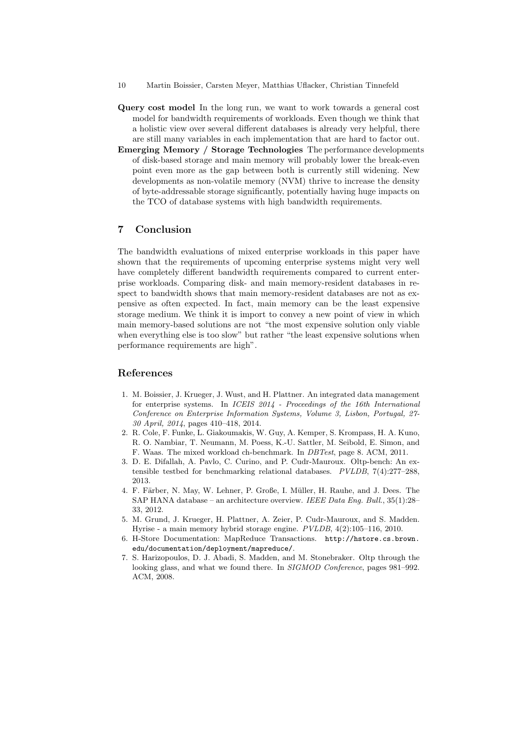- 10 Martin Boissier, Carsten Meyer, Matthias Uflacker, Christian Tinnefeld
- Query cost model In the long run, we want to work towards a general cost model for bandwidth requirements of workloads. Even though we think that a holistic view over several different databases is already very helpful, there are still many variables in each implementation that are hard to factor out.
- Emerging Memory / Storage Technologies The performance developments of disk-based storage and main memory will probably lower the break-even point even more as the gap between both is currently still widening. New developments as non-volatile memory (NVM) thrive to increase the density of byte-addressable storage significantly, potentially having huge impacts on the TCO of database systems with high bandwidth requirements.

## 7 Conclusion

The bandwidth evaluations of mixed enterprise workloads in this paper have shown that the requirements of upcoming enterprise systems might very well have completely different bandwidth requirements compared to current enterprise workloads. Comparing disk- and main memory-resident databases in respect to bandwidth shows that main memory-resident databases are not as expensive as often expected. In fact, main memory can be the least expensive storage medium. We think it is import to convey a new point of view in which main memory-based solutions are not "the most expensive solution only viable when everything else is too slow" but rather "the least expensive solutions when performance requirements are high".

# References

- 1. M. Boissier, J. Krueger, J. Wust, and H. Plattner. An integrated data management for enterprise systems. In ICEIS 2014 - Proceedings of the 16th International Conference on Enterprise Information Systems, Volume 3, Lisbon, Portugal, 27- 30 April, 2014, pages 410–418, 2014.
- 2. R. Cole, F. Funke, L. Giakoumakis, W. Guy, A. Kemper, S. Krompass, H. A. Kuno, R. O. Nambiar, T. Neumann, M. Poess, K.-U. Sattler, M. Seibold, E. Simon, and F. Waas. The mixed workload ch-benchmark. In DBTest, page 8. ACM, 2011.
- 3. D. E. Difallah, A. Pavlo, C. Curino, and P. Cudr-Mauroux. Oltp-bench: An extensible testbed for benchmarking relational databases. PVLDB, 7(4):277–288, 2013.
- 4. F. Färber, N. May, W. Lehner, P. Große, I. Müller, H. Rauhe, and J. Dees. The SAP HANA database – an architecture overview. IEEE Data Eng. Bull., 35(1):28– 33, 2012.
- 5. M. Grund, J. Krueger, H. Plattner, A. Zeier, P. Cudr-Mauroux, and S. Madden. Hyrise - a main memory hybrid storage engine. PVLDB, 4(2):105–116, 2010.
- 6. H-Store Documentation: MapReduce Transactions. http://hstore.cs.brown. edu/documentation/deployment/mapreduce/.
- 7. S. Harizopoulos, D. J. Abadi, S. Madden, and M. Stonebraker. Oltp through the looking glass, and what we found there. In SIGMOD Conference, pages 981–992. ACM, 2008.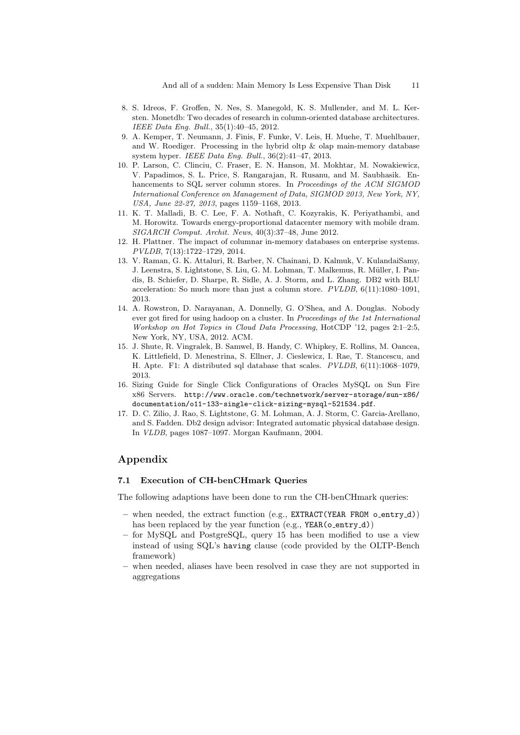- 8. S. Idreos, F. Groffen, N. Nes, S. Manegold, K. S. Mullender, and M. L. Kersten. Monetdb: Two decades of research in column-oriented database architectures. IEEE Data Eng. Bull., 35(1):40–45, 2012.
- 9. A. Kemper, T. Neumann, J. Finis, F. Funke, V. Leis, H. Muehe, T. Muehlbauer, and W. Roediger. Processing in the hybrid oltp  $\&$  olap main-memory database system hyper. IEEE Data Eng. Bull., 36(2):41–47, 2013.
- 10. P. Larson, C. Clinciu, C. Fraser, E. N. Hanson, M. Mokhtar, M. Nowakiewicz, V. Papadimos, S. L. Price, S. Rangarajan, R. Rusanu, and M. Saubhasik. Enhancements to SQL server column stores. In Proceedings of the ACM SIGMOD International Conference on Management of Data, SIGMOD 2013, New York, NY, USA, June 22-27, 2013, pages 1159–1168, 2013.
- 11. K. T. Malladi, B. C. Lee, F. A. Nothaft, C. Kozyrakis, K. Periyathambi, and M. Horowitz. Towards energy-proportional datacenter memory with mobile dram. SIGARCH Comput. Archit. News, 40(3):37–48, June 2012.
- 12. H. Plattner. The impact of columnar in-memory databases on enterprise systems. PVLDB, 7(13):1722–1729, 2014.
- 13. V. Raman, G. K. Attaluri, R. Barber, N. Chainani, D. Kalmuk, V. KulandaiSamy, J. Leenstra, S. Lightstone, S. Liu, G. M. Lohman, T. Malkemus, R. M¨uller, I. Pandis, B. Schiefer, D. Sharpe, R. Sidle, A. J. Storm, and L. Zhang. DB2 with BLU acceleration: So much more than just a column store. PVLDB, 6(11):1080–1091, 2013.
- 14. A. Rowstron, D. Narayanan, A. Donnelly, G. O'Shea, and A. Douglas. Nobody ever got fired for using hadoop on a cluster. In Proceedings of the 1st International Workshop on Hot Topics in Cloud Data Processing, HotCDP '12, pages 2:1–2:5, New York, NY, USA, 2012. ACM.
- 15. J. Shute, R. Vingralek, B. Samwel, B. Handy, C. Whipkey, E. Rollins, M. Oancea, K. Littlefield, D. Menestrina, S. Ellner, J. Cieslewicz, I. Rae, T. Stancescu, and H. Apte. F1: A distributed sql database that scales. PVLDB, 6(11):1068–1079, 2013.
- 16. Sizing Guide for Single Click Configurations of Oracles MySQL on Sun Fire x86 Servers. http://www.oracle.com/technetwork/server-storage/sun-x86/ documentation/o11-133-single-click-sizing-mysql-521534.pdf.
- 17. D. C. Zilio, J. Rao, S. Lightstone, G. M. Lohman, A. J. Storm, C. Garcia-Arellano, and S. Fadden. Db2 design advisor: Integrated automatic physical database design. In VLDB, pages 1087–1097. Morgan Kaufmann, 2004.

# Appendix

### 7.1 Execution of CH-benCHmark Queries

The following adaptions have been done to run the CH-benCHmark queries:

- when needed, the extract function (e.g., EXTRACT(YEAR FROM o\_entry\_d)) has been replaced by the year function (e.g., YEAR(o\_entry\_d))
- for MySQL and PostgreSQL, query 15 has been modified to use a view instead of using SQL's having clause (code provided by the OLTP-Bench framework)
- when needed, aliases have been resolved in case they are not supported in aggregations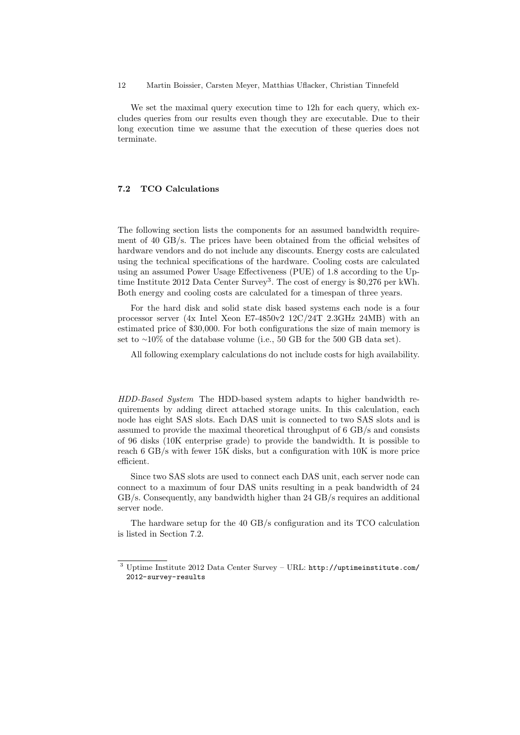12 Martin Boissier, Carsten Meyer, Matthias Uflacker, Christian Tinnefeld

We set the maximal query execution time to 12h for each query, which excludes queries from our results even though they are executable. Due to their long execution time we assume that the execution of these queries does not terminate.

# 7.2 TCO Calculations

The following section lists the components for an assumed bandwidth requirement of 40 GB/s. The prices have been obtained from the official websites of hardware vendors and do not include any discounts. Energy costs are calculated using the technical specifications of the hardware. Cooling costs are calculated using an assumed Power Usage Effectiveness (PUE) of 1.8 according to the Uptime Institute 2012 Data Center Survey<sup>3</sup>. The cost of energy is \$0,276 per kWh. Both energy and cooling costs are calculated for a timespan of three years.

For the hard disk and solid state disk based systems each node is a four processor server (4x Intel Xeon E7-4850v2 12C/24T 2.3GHz 24MB) with an estimated price of \$30,000. For both configurations the size of main memory is set to ∼10% of the database volume (i.e., 50 GB for the 500 GB data set).

All following exemplary calculations do not include costs for high availability.

HDD-Based System The HDD-based system adapts to higher bandwidth requirements by adding direct attached storage units. In this calculation, each node has eight SAS slots. Each DAS unit is connected to two SAS slots and is assumed to provide the maximal theoretical throughput of 6 GB/s and consists of 96 disks (10K enterprise grade) to provide the bandwidth. It is possible to reach 6 GB/s with fewer 15K disks, but a configuration with 10K is more price efficient.

Since two SAS slots are used to connect each DAS unit, each server node can connect to a maximum of four DAS units resulting in a peak bandwidth of 24 GB/s. Consequently, any bandwidth higher than 24 GB/s requires an additional server node.

The hardware setup for the 40 GB/s configuration and its TCO calculation is listed in Section 7.2.

<sup>3</sup> Uptime Institute 2012 Data Center Survey – URL: http://uptimeinstitute.com/ 2012-survey-results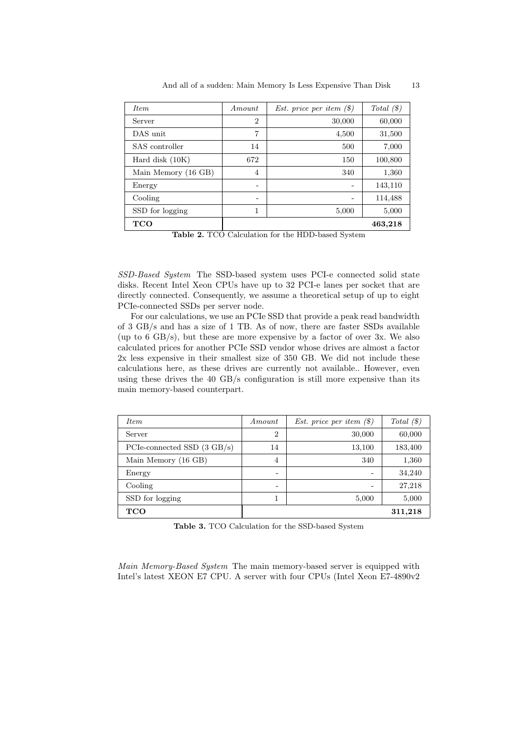| <i>Item</i>         | Amount         | <i>Est.</i> price per item $(\$)$ | Total $(\$)$ |
|---------------------|----------------|-----------------------------------|--------------|
| Server              | $\overline{2}$ | 30,000                            | 60,000       |
| DAS unit            | 7              | 4,500                             | 31,500       |
| SAS controller      | 14             | 500                               | 7,000        |
| Hard disk $(10K)$   | 672            | 150                               | 100,800      |
| Main Memory (16 GB) | $\overline{4}$ | 340                               | 1,360        |
| Energy              | -              |                                   | 143,110      |
| Cooling             | -              |                                   | 114,488      |
| SSD for logging     | 1              | 5,000                             | 5,000        |
| <b>TCO</b>          |                |                                   | 463,218      |

And all of a sudden: Main Memory Is Less Expensive Than Disk 13

Table 2. TCO Calculation for the HDD-based System

SSD-Based System The SSD-based system uses PCI-e connected solid state disks. Recent Intel Xeon CPUs have up to 32 PCI-e lanes per socket that are directly connected. Consequently, we assume a theoretical setup of up to eight PCIe-connected SSDs per server node.

For our calculations, we use an PCIe SSD that provide a peak read bandwidth of 3 GB/s and has a size of 1 TB. As of now, there are faster SSDs available (up to  $6 \text{ GB/s}$ ), but these are more expensive by a factor of over 3x. We also calculated prices for another PCIe SSD vendor whose drives are almost a factor 2x less expensive in their smallest size of 350 GB. We did not include these calculations here, as these drives are currently not available.. However, even using these drives the 40 GB/s configuration is still more expensive than its main memory-based counterpart.

| <i>Item</i>                           | Amount         | <i>Est.</i> price per item $(\$)$ | Total $(\$)$ |
|---------------------------------------|----------------|-----------------------------------|--------------|
| Server                                | $\overline{2}$ | 30,000                            | 60,000       |
| PCIe-connected SSD $(3 \text{ GB/s})$ | 14             | 13,100                            | 183,400      |
| Main Memory (16 GB)                   | 4              | 340                               | 1,360        |
| Energy                                | -              |                                   | 34,240       |
| Cooling                               | -              |                                   | 27,218       |
| SSD for logging                       |                | 5,000                             | 5,000        |
| <b>TCO</b>                            |                |                                   | 311,218      |

Table 3. TCO Calculation for the SSD-based System

Main Memory-Based System The main memory-based server is equipped with Intel's latest XEON E7 CPU. A server with four CPUs (Intel Xeon E7-4890v2